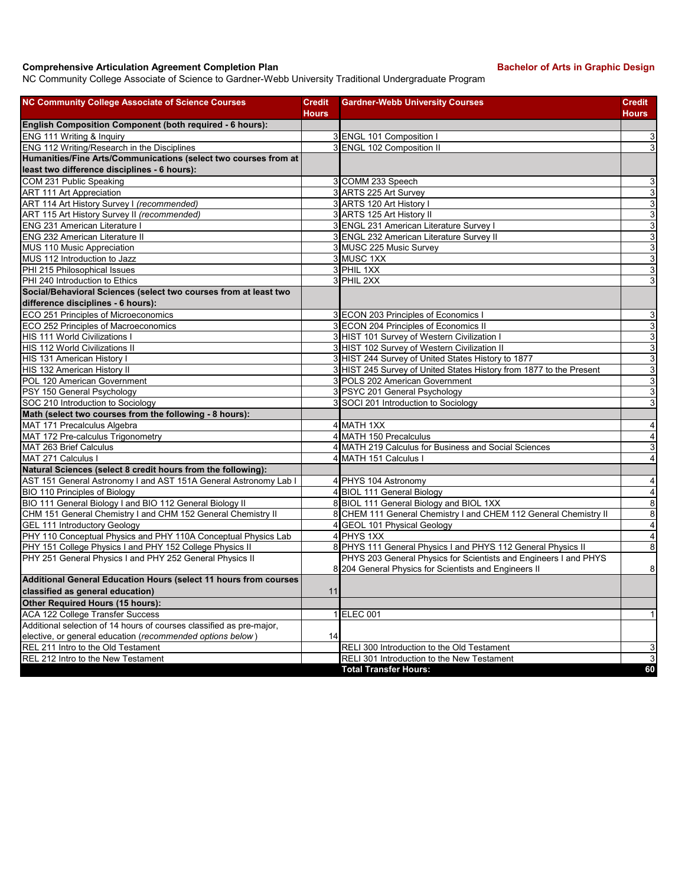## **Comprehensive Articulation Agreement Completion Plan Bachelor of Arts in Graphic Design**

NC Community College Associate of Science to Gardner-Webb University Traditional Undergraduate Program

| <b>NC Community College Associate of Science Courses</b>                                                        | <b>Credit</b> | <b>Gardner-Webb University Courses</b>                              | <b>Credit</b>  |
|-----------------------------------------------------------------------------------------------------------------|---------------|---------------------------------------------------------------------|----------------|
|                                                                                                                 | <b>Hours</b>  |                                                                     | <b>Hours</b>   |
| English Composition Component (both required - 6 hours):                                                        |               |                                                                     |                |
| ENG 111 Writing & Inquiry<br>ENG 112 Writing/Research in the Disciplines                                        |               | 3 ENGL 101 Composition I                                            | 3              |
|                                                                                                                 |               | 3 ENGL 102 Composition II                                           | 3              |
| Humanities/Fine Arts/Communications (select two courses from at<br>least two difference disciplines - 6 hours): |               |                                                                     |                |
| COM 231 Public Speaking                                                                                         |               | 3 COMM 233 Speech                                                   | 3              |
| ART 111 Art Appreciation                                                                                        |               | 3 ARTS 225 Art Survey                                               | 3              |
| ART 114 Art History Survey I (recommended)                                                                      |               | 3 ARTS 120 Art History I                                            | $\overline{3}$ |
| ART 115 Art History Survey II (recommended)                                                                     |               | ARTS 125 Art History II<br>$\overline{3}$                           | 3              |
| <b>ENG 231 American Literature I</b>                                                                            |               | 3 ENGL 231 American Literature Survey I                             | 3              |
| <b>ENG 232 American Literature II</b>                                                                           |               | 3 ENGL 232 American Literature Survey II                            | 3              |
| MUS 110 Music Appreciation                                                                                      |               | 3 MUSC 225 Music Survey                                             | 3              |
| MUS 112 Introduction to Jazz                                                                                    |               | 3 MUSC 1XX                                                          | 3              |
| PHI 215 Philosophical Issues                                                                                    |               | 3 PHIL 1XX                                                          | 3              |
| PHI 240 Introduction to Ethics                                                                                  |               | 3 PHIL 2XX                                                          | 3              |
| Social/Behavioral Sciences (select two courses from at least two                                                |               |                                                                     |                |
| difference disciplines - 6 hours):                                                                              |               |                                                                     |                |
| ECO 251 Principles of Microeconomics                                                                            |               | 3 ECON 203 Principles of Economics I                                | 3              |
| ECO 252 Principles of Macroeconomics                                                                            |               | 3 ECON 204 Principles of Economics II                               | 3              |
| HIS 111 World Civilizations I                                                                                   |               | 3 HIST 101 Survey of Western Civilization I                         | 3              |
| HIS 112 World Civilizations II                                                                                  |               | 3 HIST 102 Survey of Western Civilization II                        | 3              |
| HIS 131 American History I                                                                                      |               | 3 HIST 244 Survey of United States History to 1877                  | 3              |
| HIS 132 American History II                                                                                     |               | 3 HIST 245 Survey of United States History from 1877 to the Present | 3              |
| POL 120 American Government                                                                                     |               | 3 POLS 202 American Government                                      | 3              |
| PSY 150 General Psychology                                                                                      |               | 3 PSYC 201 General Psychology                                       | 3              |
| SOC 210 Introduction to Sociology                                                                               |               | 3 SOCI 201 Introduction to Sociology                                | 3              |
| Math (select two courses from the following - 8 hours):                                                         |               |                                                                     |                |
| MAT 171 Precalculus Algebra                                                                                     |               | 4 MATH 1XX                                                          | $\overline{4}$ |
| MAT 172 Pre-calculus Trigonometry                                                                               |               | 4 MATH 150 Precalculus                                              | 4              |
| MAT 263 Brief Calculus                                                                                          |               | 4 MATH 219 Calculus for Business and Social Sciences                | 3              |
| MAT 271 Calculus I                                                                                              |               | 4 MATH 151 Calculus I                                               | 4              |
| Natural Sciences (select 8 credit hours from the following):                                                    |               |                                                                     |                |
| AST 151 General Astronomy I and AST 151A General Astronomy Lab I                                                |               | 4 PHYS 104 Astronomy                                                | 4              |
| BIO 110 Principles of Biology                                                                                   |               | 4 BIOL 111 General Biology                                          | 4              |
| BIO 111 General Biology I and BIO 112 General Biology II                                                        |               | 8 BIOL 111 General Biology and BIOL 1XX                             | 8              |
| CHM 151 General Chemistry I and CHM 152 General Chemistry II                                                    |               | 8 CHEM 111 General Chemistry I and CHEM 112 General Chemistry II    | 8              |
| GEL 111 Introductory Geology                                                                                    |               | 4 GEOL 101 Physical Geology                                         | $\overline{4}$ |
| PHY 110 Conceptual Physics and PHY 110A Conceptual Physics Lab                                                  |               | 4 PHYS 1XX                                                          | 4              |
| PHY 151 College Physics I and PHY 152 College Physics II                                                        |               | 8 PHYS 111 General Physics I and PHYS 112 General Physics II        | 8              |
| PHY 251 General Physics I and PHY 252 General Physics II                                                        |               | PHYS 203 General Physics for Scientists and Engineers I and PHYS    |                |
|                                                                                                                 |               | 8 204 General Physics for Scientists and Engineers II               | 8              |
| Additional General Education Hours (select 11 hours from courses                                                |               |                                                                     |                |
| classified as general education)                                                                                | 11            |                                                                     |                |
| Other Required Hours (15 hours):                                                                                |               |                                                                     |                |
| ACA 122 College Transfer Success                                                                                |               | 1 ELEC 001                                                          | $\mathbf{1}$   |
| Additional selection of 14 hours of courses classified as pre-major,                                            |               |                                                                     |                |
| elective, or general education (recommended options below)                                                      | 14            |                                                                     |                |
| REL 211 Intro to the Old Testament                                                                              |               | RELI 300 Introduction to the Old Testament                          | $\overline{3}$ |
| REL 212 Intro to the New Testament                                                                              |               | RELI 301 Introduction to the New Testament                          | $\overline{3}$ |
|                                                                                                                 |               | <b>Total Transfer Hours:</b>                                        | 60             |